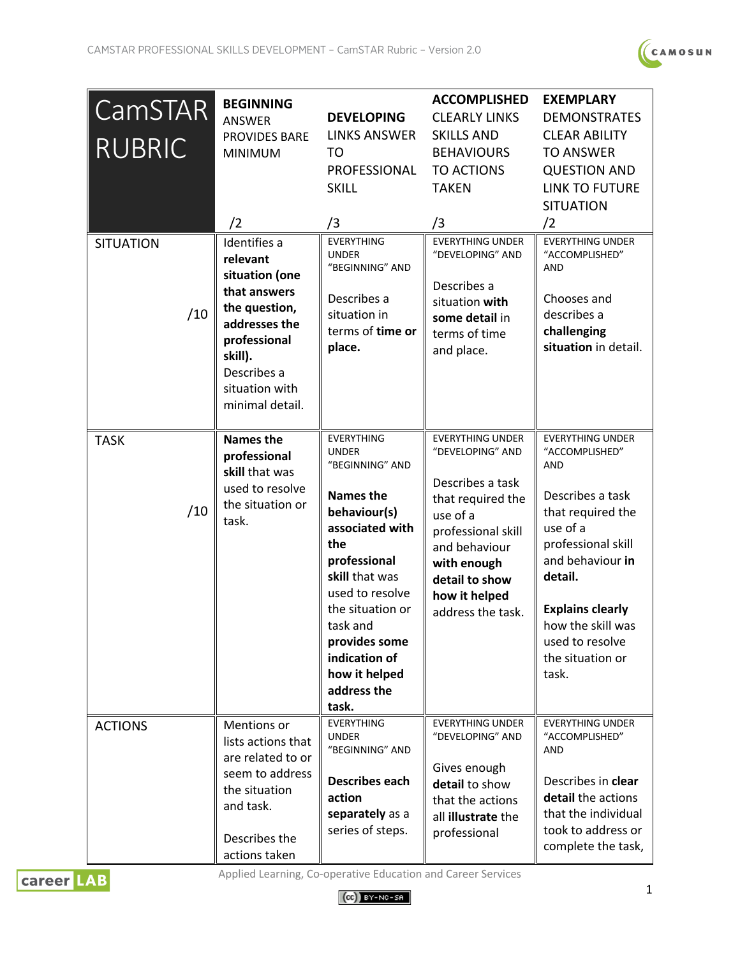

| <b>CamSTAR</b><br><b>RUBRIC</b> | <b>BEGINNING</b><br>ANSWER<br><b>PROVIDES BARE</b><br><b>MINIMUM</b><br>/2                                                                                                  | <b>DEVELOPING</b><br><b>LINKS ANSWER</b><br>TO<br>PROFESSIONAL<br><b>SKILL</b><br>/3                                                                                                                                                                                               | <b>ACCOMPLISHED</b><br><b>CLEARLY LINKS</b><br><b>SKILLS AND</b><br><b>BEHAVIOURS</b><br><b>TO ACTIONS</b><br><b>TAKEN</b><br>/3                                                                               | <b>EXEMPLARY</b><br><b>DEMONSTRATES</b><br><b>CLEAR ABILITY</b><br><b>TO ANSWER</b><br><b>QUESTION AND</b><br><b>LINK TO FUTURE</b><br><b>SITUATION</b><br>/2                                                                                                     |
|---------------------------------|-----------------------------------------------------------------------------------------------------------------------------------------------------------------------------|------------------------------------------------------------------------------------------------------------------------------------------------------------------------------------------------------------------------------------------------------------------------------------|----------------------------------------------------------------------------------------------------------------------------------------------------------------------------------------------------------------|-------------------------------------------------------------------------------------------------------------------------------------------------------------------------------------------------------------------------------------------------------------------|
| <b>SITUATION</b><br>/10         | Identifies a<br>relevant<br>situation (one<br>that answers<br>the question,<br>addresses the<br>professional<br>skill).<br>Describes a<br>situation with<br>minimal detail. | <b>EVERYTHING</b><br><b>UNDER</b><br>"BEGINNING" AND<br>Describes a<br>situation in<br>terms of time or<br>place.                                                                                                                                                                  | <b>EVERYTHING UNDER</b><br>"DEVELOPING" AND<br>Describes a<br>situation with<br>some detail in<br>terms of time<br>and place.                                                                                  | <b>EVERYTHING UNDER</b><br>"ACCOMPLISHED"<br>AND<br>Chooses and<br>describes a<br>challenging<br>situation in detail.                                                                                                                                             |
| <b>TASK</b><br>/10              | <b>Names the</b><br>professional<br>skill that was<br>used to resolve<br>the situation or<br>task.                                                                          | <b>EVERYTHING</b><br><b>UNDER</b><br>"BEGINNING" AND<br><b>Names the</b><br>behaviour(s)<br>associated with<br>the<br>professional<br>skill that was<br>used to resolve<br>the situation or<br>task and<br>provides some<br>indication of<br>how it helped<br>address the<br>task. | <b>EVERYTHING UNDER</b><br>"DEVELOPING" AND<br>Describes a task<br>that required the<br>use of a<br>professional skill<br>and behaviour<br>with enough<br>detail to show<br>how it helped<br>address the task. | <b>EVERYTHING UNDER</b><br>"ACCOMPLISHED"<br><b>AND</b><br>Describes a task<br>that required the<br>use of a<br>professional skill<br>and behaviour in<br>detail.<br><b>Explains clearly</b><br>how the skill was<br>used to resolve<br>the situation or<br>task. |
| <b>ACTIONS</b>                  | Mentions or<br>lists actions that<br>are related to or<br>seem to address<br>the situation<br>and task.<br>Describes the<br>actions taken                                   | <b>EVERYTHING</b><br><b>UNDER</b><br>"BEGINNING" AND<br><b>Describes each</b><br>action<br>separately as a<br>series of steps.                                                                                                                                                     | <b>EVERYTHING UNDER</b><br>"DEVELOPING" AND<br>Gives enough<br>detail to show<br>that the actions<br>all illustrate the<br>professional                                                                        | <b>EVERYTHING UNDER</b><br>"ACCOMPLISHED"<br>AND<br>Describes in clear<br>detail the actions<br>that the individual<br>took to address or<br>complete the task,                                                                                                   |



Applied Learning, Co-operative Education and Career Services

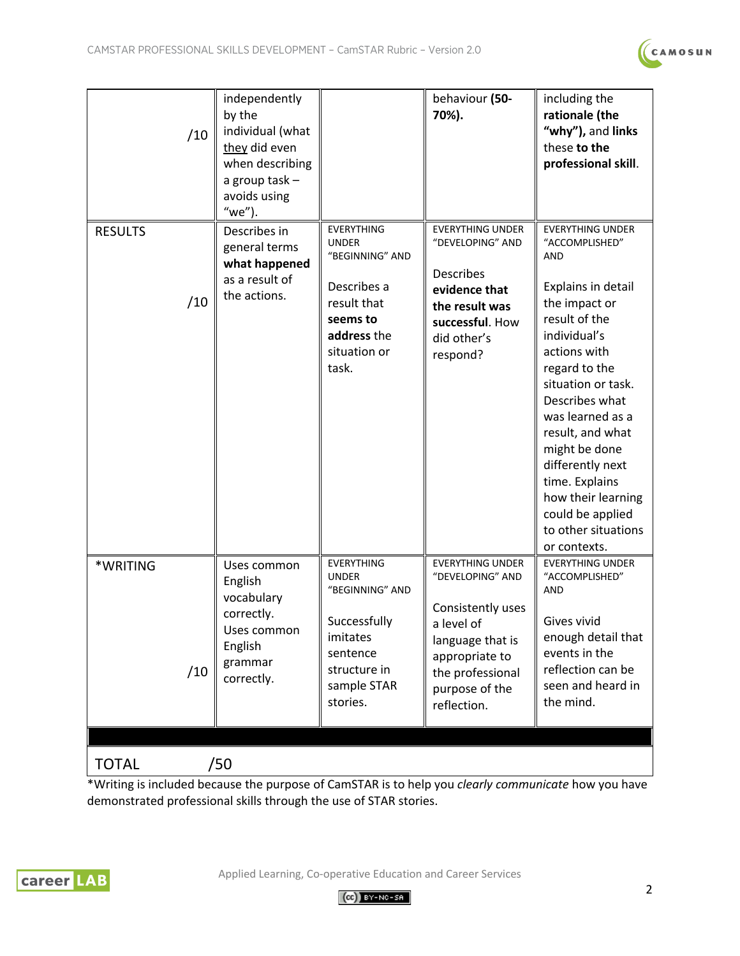

| /10                   | independently<br>by the<br>individual (what<br>they did even<br>when describing<br>a group task-<br>avoids using<br>"we"). |                                                                                                                                         | behaviour (50-<br>70%).                                                                                                                                                   | including the<br>rationale (the<br>"why"), and links<br>these to the<br>professional skill.                                                                                                                                                                                                                                                                                       |  |  |
|-----------------------|----------------------------------------------------------------------------------------------------------------------------|-----------------------------------------------------------------------------------------------------------------------------------------|---------------------------------------------------------------------------------------------------------------------------------------------------------------------------|-----------------------------------------------------------------------------------------------------------------------------------------------------------------------------------------------------------------------------------------------------------------------------------------------------------------------------------------------------------------------------------|--|--|
| <b>RESULTS</b><br>/10 | Describes in<br>general terms<br>what happened<br>as a result of<br>the actions.                                           | <b>EVERYTHING</b><br><b>UNDER</b><br>"BEGINNING" AND<br>Describes a<br>result that<br>seems to<br>address the<br>situation or<br>task.  | <b>EVERYTHING UNDER</b><br>"DEVELOPING" AND<br><b>Describes</b><br>evidence that<br>the result was<br>successful. How<br>did other's<br>respond?                          | <b>EVERYTHING UNDER</b><br>"ACCOMPLISHED"<br>AND<br>Explains in detail<br>the impact or<br>result of the<br>individual's<br>actions with<br>regard to the<br>situation or task.<br>Describes what<br>was learned as a<br>result, and what<br>might be done<br>differently next<br>time. Explains<br>how their learning<br>could be applied<br>to other situations<br>or contexts. |  |  |
| *WRITING<br>/10       | Uses common<br>English<br>vocabulary<br>correctly.<br>Uses common<br>English<br>grammar<br>correctly.                      | <b>EVERYTHING</b><br><b>UNDER</b><br>"BEGINNING" AND<br>Successfully<br>imitates<br>sentence<br>structure in<br>sample STAR<br>stories. | <b>EVERYTHING UNDER</b><br>"DEVELOPING" AND<br>Consistently uses<br>a level of<br>language that is<br>appropriate to<br>the professional<br>purpose of the<br>reflection. | <b>EVERYTHING UNDER</b><br>"ACCOMPLISHED"<br>AND<br>Gives vivid<br>enough detail that<br>events in the<br>reflection can be<br>seen and heard in<br>the mind.                                                                                                                                                                                                                     |  |  |
| /50<br><b>TOTAL</b>   |                                                                                                                            |                                                                                                                                         |                                                                                                                                                                           |                                                                                                                                                                                                                                                                                                                                                                                   |  |  |

\*Writing is included because the purpose of CamSTAR is to help you *clearly communicate* how you have demonstrated professional skills through the use of STAR stories.



Applied Learning, Co-operative Education and Career Services